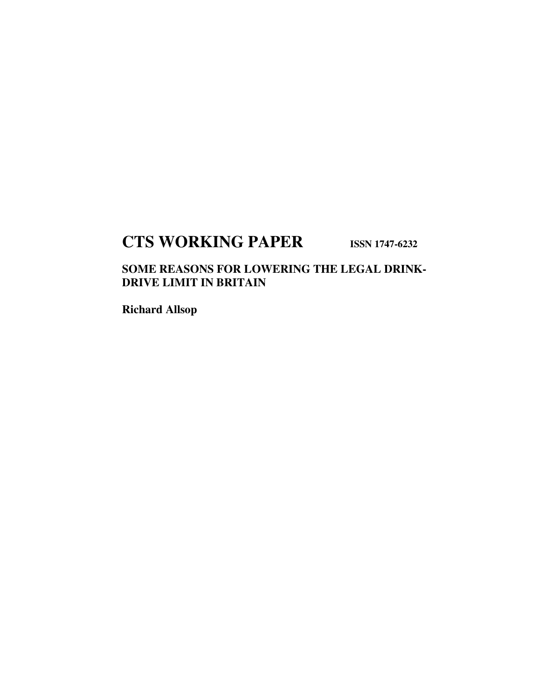## **CTS WORKING PAPER ISSN 1747-6232**

### **SOME REASONS FOR LOWERING THE LEGAL DRINK-DRIVE LIMIT IN BRITAIN**

**Richard Allsop**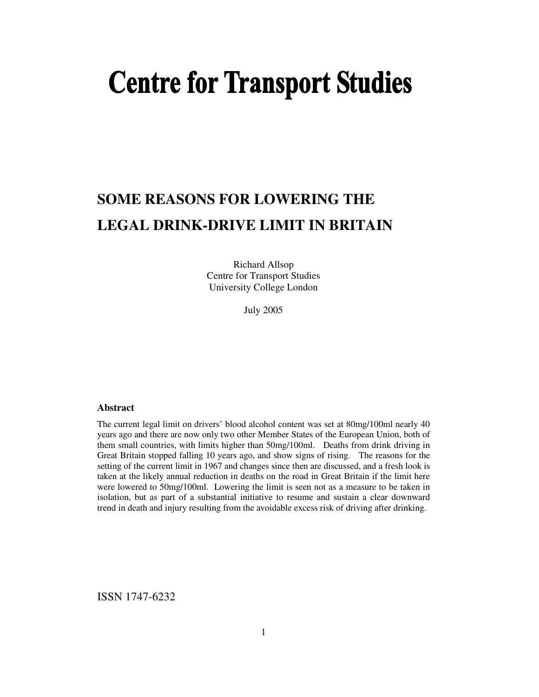# **Centre for Transport Studies**

## **SOME REASONS FOR LOWERING THE LEGAL DRINK-DRIVE LIMIT IN BRITAIN**

Richard Allsop Centre for Transport Studies University College London

July 2005

#### **Abstract**

The current legal limit on drivers' blood alcohol content was set at 80mg/100ml nearly 40 years ago and there are now only two other Member States of the European Union, both of them small countries, with limits higher than 50mg/100ml. Deaths from drink driving in Great Britain stopped falling 10 years ago, and show signs of rising. The reasons for the setting of the current limit in 1967 and changes since then are discussed, and a fresh look is taken at the likely annual reduction in deaths on the road in Great Britain if the limit here were lowered to 50mg/100ml. Lowering the limit is seen not as a measure to be taken in isolation, but as part of a substantial initiative to resume and sustain a clear downward trend in death and injury resulting from the avoidable excess risk of driving after drinking.

ISSN 1747-6232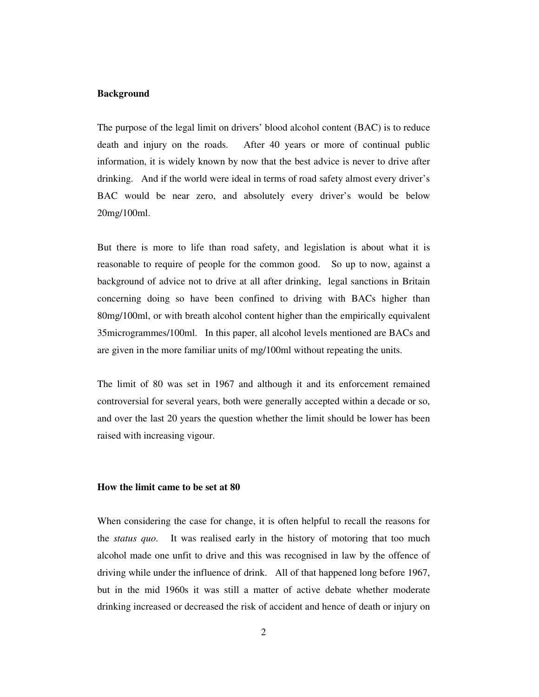#### **Background**

The purpose of the legal limit on drivers' blood alcohol content (BAC) is to reduce death and injury on the roads. After 40 years or more of continual public information, it is widely known by now that the best advice is never to drive after drinking. And if the world were ideal in terms of road safety almost every driver's BAC would be near zero, and absolutely every driver's would be below 20mg/100ml.

But there is more to life than road safety, and legislation is about what it is reasonable to require of people for the common good. So up to now, against a background of advice not to drive at all after drinking, legal sanctions in Britain concerning doing so have been confined to driving with BACs higher than 80mg/100ml, or with breath alcohol content higher than the empirically equivalent 35microgrammes/100ml. In this paper, all alcohol levels mentioned are BACs and are given in the more familiar units of mg/100ml without repeating the units.

The limit of 80 was set in 1967 and although it and its enforcement remained controversial for several years, both were generally accepted within a decade or so, and over the last 20 years the question whether the limit should be lower has been raised with increasing vigour.

#### **How the limit came to be set at 80**

When considering the case for change, it is often helpful to recall the reasons for the *status quo*. It was realised early in the history of motoring that too much alcohol made one unfit to drive and this was recognised in law by the offence of driving while under the influence of drink. All of that happened long before 1967, but in the mid 1960s it was still a matter of active debate whether moderate drinking increased or decreased the risk of accident and hence of death or injury on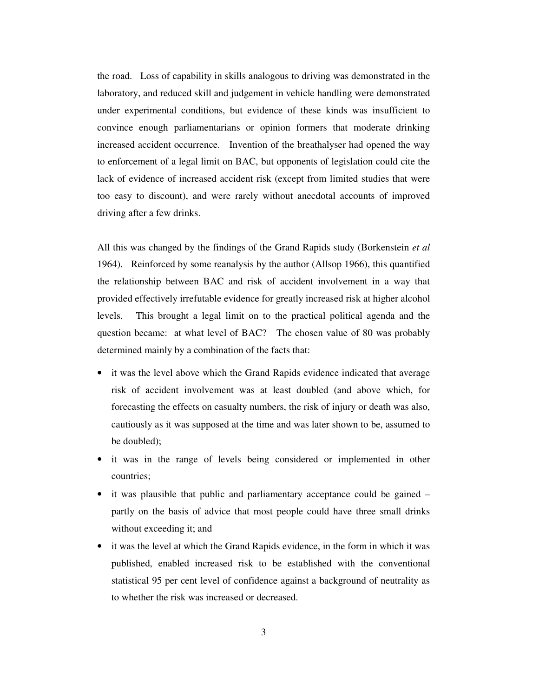the road. Loss of capability in skills analogous to driving was demonstrated in the laboratory, and reduced skill and judgement in vehicle handling were demonstrated under experimental conditions, but evidence of these kinds was insufficient to convince enough parliamentarians or opinion formers that moderate drinking increased accident occurrence. Invention of the breathalyser had opened the way to enforcement of a legal limit on BAC, but opponents of legislation could cite the lack of evidence of increased accident risk (except from limited studies that were too easy to discount), and were rarely without anecdotal accounts of improved driving after a few drinks.

All this was changed by the findings of the Grand Rapids study (Borkenstein *et al* 1964). Reinforced by some reanalysis by the author (Allsop 1966), this quantified the relationship between BAC and risk of accident involvement in a way that provided effectively irrefutable evidence for greatly increased risk at higher alcohol levels. This brought a legal limit on to the practical political agenda and the question became: at what level of BAC? The chosen value of 80 was probably determined mainly by a combination of the facts that:

- it was the level above which the Grand Rapids evidence indicated that average risk of accident involvement was at least doubled (and above which, for forecasting the effects on casualty numbers, the risk of injury or death was also, cautiously as it was supposed at the time and was later shown to be, assumed to be doubled);
- it was in the range of levels being considered or implemented in other countries;
- it was plausible that public and parliamentary acceptance could be gained partly on the basis of advice that most people could have three small drinks without exceeding it; and
- it was the level at which the Grand Rapids evidence, in the form in which it was published, enabled increased risk to be established with the conventional statistical 95 per cent level of confidence against a background of neutrality as to whether the risk was increased or decreased.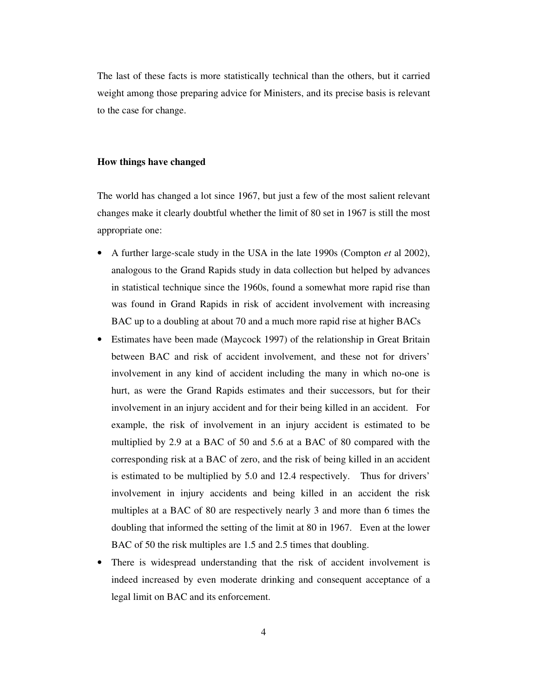The last of these facts is more statistically technical than the others, but it carried weight among those preparing advice for Ministers, and its precise basis is relevant to the case for change.

#### **How things have changed**

The world has changed a lot since 1967, but just a few of the most salient relevant changes make it clearly doubtful whether the limit of 80 set in 1967 is still the most appropriate one:

- A further large-scale study in the USA in the late 1990s (Compton *et* al 2002), analogous to the Grand Rapids study in data collection but helped by advances in statistical technique since the 1960s, found a somewhat more rapid rise than was found in Grand Rapids in risk of accident involvement with increasing BAC up to a doubling at about 70 and a much more rapid rise at higher BACs
- Estimates have been made (Maycock 1997) of the relationship in Great Britain between BAC and risk of accident involvement, and these not for drivers' involvement in any kind of accident including the many in which no-one is hurt, as were the Grand Rapids estimates and their successors, but for their involvement in an injury accident and for their being killed in an accident. For example, the risk of involvement in an injury accident is estimated to be multiplied by 2.9 at a BAC of 50 and 5.6 at a BAC of 80 compared with the corresponding risk at a BAC of zero, and the risk of being killed in an accident is estimated to be multiplied by 5.0 and 12.4 respectively. Thus for drivers' involvement in injury accidents and being killed in an accident the risk multiples at a BAC of 80 are respectively nearly 3 and more than 6 times the doubling that informed the setting of the limit at 80 in 1967. Even at the lower BAC of 50 the risk multiples are 1.5 and 2.5 times that doubling.
- There is widespread understanding that the risk of accident involvement is indeed increased by even moderate drinking and consequent acceptance of a legal limit on BAC and its enforcement.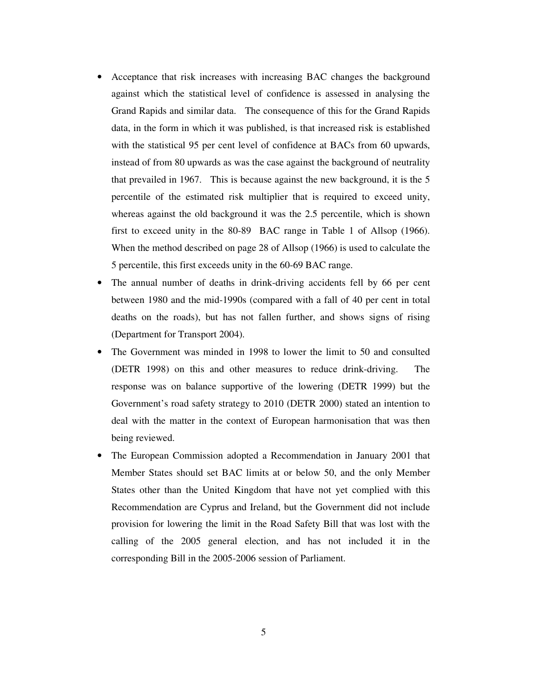- Acceptance that risk increases with increasing BAC changes the background against which the statistical level of confidence is assessed in analysing the Grand Rapids and similar data. The consequence of this for the Grand Rapids data, in the form in which it was published, is that increased risk is established with the statistical 95 per cent level of confidence at BACs from 60 upwards, instead of from 80 upwards as was the case against the background of neutrality that prevailed in 1967. This is because against the new background, it is the 5 percentile of the estimated risk multiplier that is required to exceed unity, whereas against the old background it was the 2.5 percentile, which is shown first to exceed unity in the 80-89 BAC range in Table 1 of Allsop (1966). When the method described on page 28 of Allsop (1966) is used to calculate the 5 percentile, this first exceeds unity in the 60-69 BAC range.
- The annual number of deaths in drink-driving accidents fell by 66 per cent between 1980 and the mid-1990s (compared with a fall of 40 per cent in total deaths on the roads), but has not fallen further, and shows signs of rising (Department for Transport 2004).
- The Government was minded in 1998 to lower the limit to 50 and consulted (DETR 1998) on this and other measures to reduce drink-driving. The response was on balance supportive of the lowering (DETR 1999) but the Government's road safety strategy to 2010 (DETR 2000) stated an intention to deal with the matter in the context of European harmonisation that was then being reviewed.
- The European Commission adopted a Recommendation in January 2001 that Member States should set BAC limits at or below 50, and the only Member States other than the United Kingdom that have not yet complied with this Recommendation are Cyprus and Ireland, but the Government did not include provision for lowering the limit in the Road Safety Bill that was lost with the calling of the 2005 general election, and has not included it in the corresponding Bill in the 2005-2006 session of Parliament.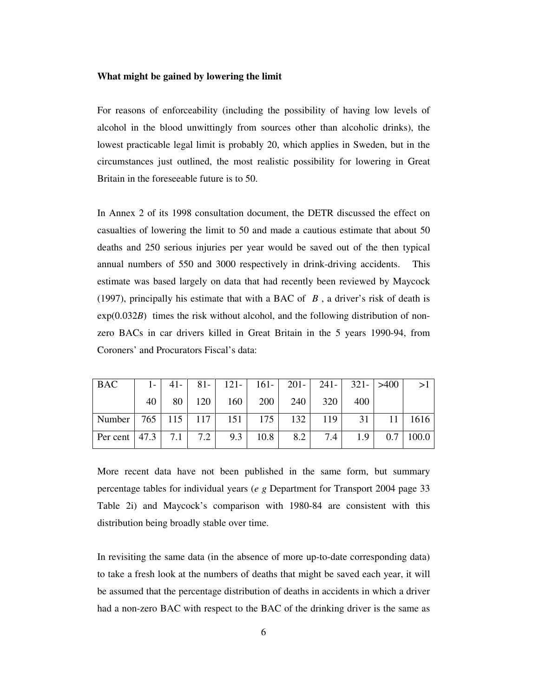#### **What might be gained by lowering the limit**

For reasons of enforceability (including the possibility of having low levels of alcohol in the blood unwittingly from sources other than alcoholic drinks), the lowest practicable legal limit is probably 20, which applies in Sweden, but in the circumstances just outlined, the most realistic possibility for lowering in Great Britain in the foreseeable future is to 50.

In Annex 2 of its 1998 consultation document, the DETR discussed the effect on casualties of lowering the limit to 50 and made a cautious estimate that about 50 deaths and 250 serious injuries per year would be saved out of the then typical annual numbers of 550 and 3000 respectively in drink-driving accidents. This estimate was based largely on data that had recently been reviewed by Maycock (1997), principally his estimate that with a BAC of *B* , a driver's risk of death is exp(0.032*B*) times the risk without alcohol, and the following distribution of nonzero BACs in car drivers killed in Great Britain in the 5 years 1990-94, from Coroners' and Procurators Fiscal's data:

| <b>BAC</b>                                                                              |  |  | $1-$ 41 - 81 - 121 - 161 - 201 - 241 - 321 - $>400$ |  |  |
|-----------------------------------------------------------------------------------------|--|--|-----------------------------------------------------|--|--|
|                                                                                         |  |  | 40   80   120   160   200   240   320   400         |  |  |
| Number 765   115   117   151   175   132   119   31   11   1616                         |  |  |                                                     |  |  |
| Per cent $\begin{vmatrix} 47.3 \\ 7.1 \end{vmatrix}$ 7.2 9.3 10.8 8.2 7.4 1.9 0.7 100.0 |  |  |                                                     |  |  |

More recent data have not been published in the same form, but summary percentage tables for individual years (*e g* Department for Transport 2004 page 33 Table 2i) and Maycock's comparison with 1980-84 are consistent with this distribution being broadly stable over time.

In revisiting the same data (in the absence of more up-to-date corresponding data) to take a fresh look at the numbers of deaths that might be saved each year, it will be assumed that the percentage distribution of deaths in accidents in which a driver had a non-zero BAC with respect to the BAC of the drinking driver is the same as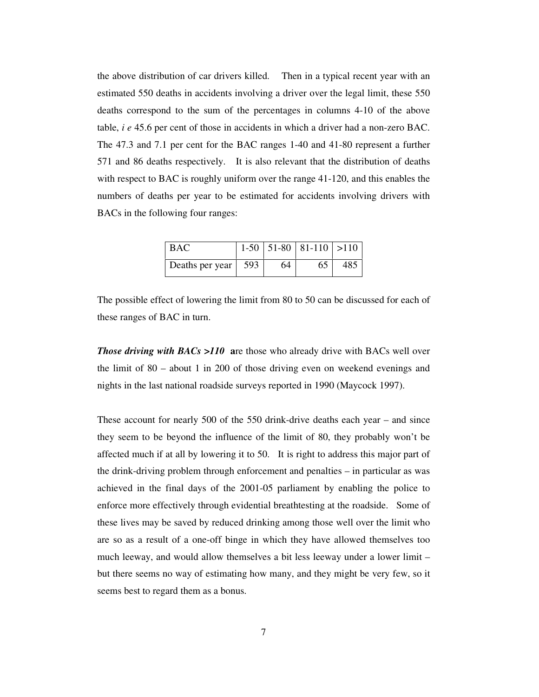the above distribution of car drivers killed. Then in a typical recent year with an estimated 550 deaths in accidents involving a driver over the legal limit, these 550 deaths correspond to the sum of the percentages in columns 4-10 of the above table, *i e* 45.6 per cent of those in accidents in which a driver had a non-zero BAC. The 47.3 and 7.1 per cent for the BAC ranges 1-40 and 41-80 represent a further 571 and 86 deaths respectively. It is also relevant that the distribution of deaths with respect to BAC is roughly uniform over the range 41-120, and this enables the numbers of deaths per year to be estimated for accidents involving drivers with BACs in the following four ranges:

| <b>BAC</b>      |     |    | $1-50$   51-80   81-110   >110 |     |
|-----------------|-----|----|--------------------------------|-----|
| Deaths per year | 593 | 64 | 65                             | 485 |

The possible effect of lowering the limit from 80 to 50 can be discussed for each of these ranges of BAC in turn.

*Those driving with BACs >110* are those who already drive with BACs well over the limit of 80 – about 1 in 200 of those driving even on weekend evenings and nights in the last national roadside surveys reported in 1990 (Maycock 1997).

These account for nearly 500 of the 550 drink-drive deaths each year – and since they seem to be beyond the influence of the limit of 80, they probably won't be affected much if at all by lowering it to 50. It is right to address this major part of the drink-driving problem through enforcement and penalties – in particular as was achieved in the final days of the 2001-05 parliament by enabling the police to enforce more effectively through evidential breathtesting at the roadside. Some of these lives may be saved by reduced drinking among those well over the limit who are so as a result of a one-off binge in which they have allowed themselves too much leeway, and would allow themselves a bit less leeway under a lower limit – but there seems no way of estimating how many, and they might be very few, so it seems best to regard them as a bonus.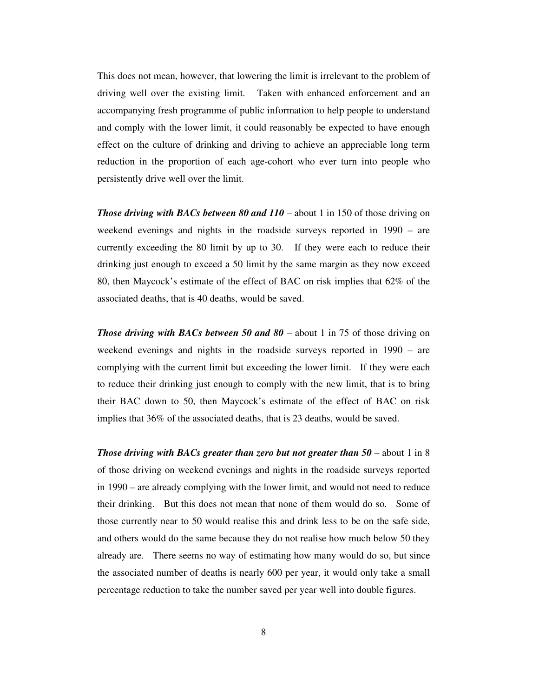This does not mean, however, that lowering the limit is irrelevant to the problem of driving well over the existing limit. Taken with enhanced enforcement and an accompanying fresh programme of public information to help people to understand and comply with the lower limit, it could reasonably be expected to have enough effect on the culture of drinking and driving to achieve an appreciable long term reduction in the proportion of each age-cohort who ever turn into people who persistently drive well over the limit.

*Those driving with BACs between 80 and 110* – about 1 in 150 of those driving on weekend evenings and nights in the roadside surveys reported in 1990 – are currently exceeding the 80 limit by up to 30. If they were each to reduce their drinking just enough to exceed a 50 limit by the same margin as they now exceed 80, then Maycock's estimate of the effect of BAC on risk implies that 62% of the associated deaths, that is 40 deaths, would be saved.

*Those driving with BACs between 50 and 80 – about 1 in 75 of those driving on* weekend evenings and nights in the roadside surveys reported in 1990 – are complying with the current limit but exceeding the lower limit. If they were each to reduce their drinking just enough to comply with the new limit, that is to bring their BAC down to 50, then Maycock's estimate of the effect of BAC on risk implies that 36% of the associated deaths, that is 23 deaths, would be saved.

*Those driving with BACs greater than zero but not greater than 50* – about 1 in 8 of those driving on weekend evenings and nights in the roadside surveys reported in 1990 – are already complying with the lower limit, and would not need to reduce their drinking. But this does not mean that none of them would do so. Some of those currently near to 50 would realise this and drink less to be on the safe side, and others would do the same because they do not realise how much below 50 they already are. There seems no way of estimating how many would do so, but since the associated number of deaths is nearly 600 per year, it would only take a small percentage reduction to take the number saved per year well into double figures.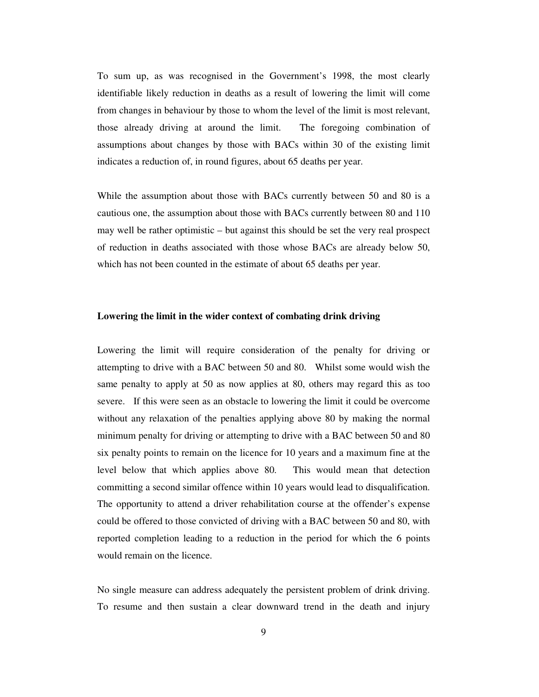To sum up, as was recognised in the Government's 1998, the most clearly identifiable likely reduction in deaths as a result of lowering the limit will come from changes in behaviour by those to whom the level of the limit is most relevant, those already driving at around the limit. The foregoing combination of assumptions about changes by those with BACs within 30 of the existing limit indicates a reduction of, in round figures, about 65 deaths per year.

While the assumption about those with BACs currently between 50 and 80 is a cautious one, the assumption about those with BACs currently between 80 and 110 may well be rather optimistic – but against this should be set the very real prospect of reduction in deaths associated with those whose BACs are already below 50, which has not been counted in the estimate of about 65 deaths per year.

#### **Lowering the limit in the wider context of combating drink driving**

Lowering the limit will require consideration of the penalty for driving or attempting to drive with a BAC between 50 and 80. Whilst some would wish the same penalty to apply at 50 as now applies at 80, others may regard this as too severe. If this were seen as an obstacle to lowering the limit it could be overcome without any relaxation of the penalties applying above 80 by making the normal minimum penalty for driving or attempting to drive with a BAC between 50 and 80 six penalty points to remain on the licence for 10 years and a maximum fine at the level below that which applies above 80. This would mean that detection committing a second similar offence within 10 years would lead to disqualification. The opportunity to attend a driver rehabilitation course at the offender's expense could be offered to those convicted of driving with a BAC between 50 and 80, with reported completion leading to a reduction in the period for which the 6 points would remain on the licence.

No single measure can address adequately the persistent problem of drink driving. To resume and then sustain a clear downward trend in the death and injury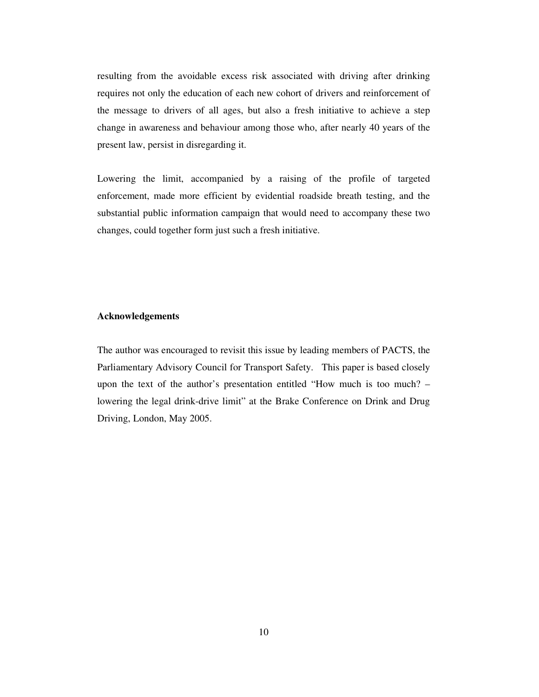resulting from the avoidable excess risk associated with driving after drinking requires not only the education of each new cohort of drivers and reinforcement of the message to drivers of all ages, but also a fresh initiative to achieve a step change in awareness and behaviour among those who, after nearly 40 years of the present law, persist in disregarding it.

Lowering the limit, accompanied by a raising of the profile of targeted enforcement, made more efficient by evidential roadside breath testing, and the substantial public information campaign that would need to accompany these two changes, could together form just such a fresh initiative.

#### **Acknowledgements**

The author was encouraged to revisit this issue by leading members of PACTS, the Parliamentary Advisory Council for Transport Safety. This paper is based closely upon the text of the author's presentation entitled "How much is too much? – lowering the legal drink-drive limit" at the Brake Conference on Drink and Drug Driving, London, May 2005.